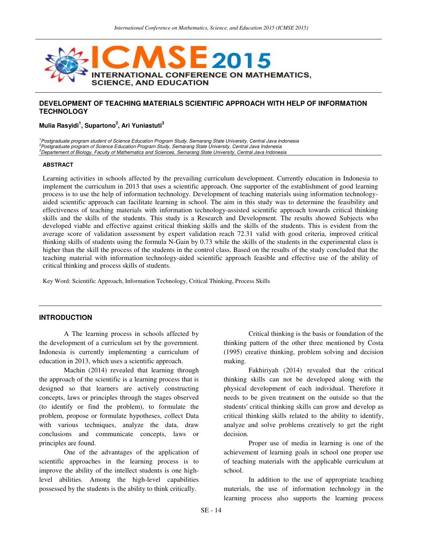

# **DEVELOPMENT OF TEACHING MATERIALS SCIENTIFIC APPROACH WITH HELP OF INFORMATION TECHNOLOGY**

## **Mulia Rasyidi<sup>1</sup> , Supartono<sup>2</sup> , Ari Yuniastuti<sup>3</sup>**

<sup>1</sup> Postgraduate program student of Science Education Program Study, Semarang State University, Central Java Indonesia <sup>2</sup>Postgraduate program of Science Education Program Study, Semarang State University, Central Java Indonesia <sup>3</sup>Departement of Biology, Faculty of Mathematics and Sciences, Semarang State University, Central Java Indonesia

#### **ABSTRACT**

Learning activities in schools affected by the prevailing curriculum development. Currently education in Indonesia to implement the curriculum in 2013 that uses a scientific approach. One supporter of the establishment of good learning process is to use the help of information technology. Development of teaching materials using information technologyaided scientific approach can facilitate learning in school. The aim in this study was to determine the feasibility and effectiveness of teaching materials with information technology-assisted scientific approach towards critical thinking skills and the skills of the students. This study is a Research and Development. The results showed Subjects who developed viable and effective against critical thinking skills and the skills of the students. This is evident from the average score of validation assessment by expert validation reach 72.31 valid with good criteria, improved critical thinking skills of students using the formula N-Gain by 0.73 while the skills of the students in the experimental class is higher than the skill the process of the students in the control class. Based on the results of the study concluded that the teaching material with information technology-aided scientific approach feasible and effective use of the ability of critical thinking and process skills of students.

Key Word: Scientific Approach, Information Technology, Critical Thinking, Process Skills

#### **INTRODUCTION**

A The learning process in schools affected by the development of a curriculum set by the government. Indonesia is currently implementing a curriculum of education in 2013, which uses a scientific approach.

Machin (2014) revealed that learning through the approach of the scientific is a learning process that is designed so that learners are actively constructing concepts, laws or principles through the stages observed (to identify or find the problem), to formulate the problem, propose or formulate hypotheses, collect Data with various techniques, analyze the data, draw conclusions and communicate concepts, laws or principles are found.

One of the advantages of the application of scientific approaches in the learning process is to improve the ability of the intellect students is one highlevel abilities. Among the high-level capabilities possessed by the students is the ability to think critically.

Critical thinking is the basis or foundation of the thinking pattern of the other three mentioned by Costa (1995) creative thinking, problem solving and decision making.

Fakhiriyah (2014) revealed that the critical thinking skills can not be developed along with the physical development of each individual. Therefore it needs to be given treatment on the outside so that the students' critical thinking skills can grow and develop as critical thinking skills related to the ability to identify, analyze and solve problems creatively to get the right decision.

Proper use of media in learning is one of the achievement of learning goals in school one proper use of teaching materials with the applicable curriculum at school.

In addition to the use of appropriate teaching materials, the use of information technology in the learning process also supports the learning process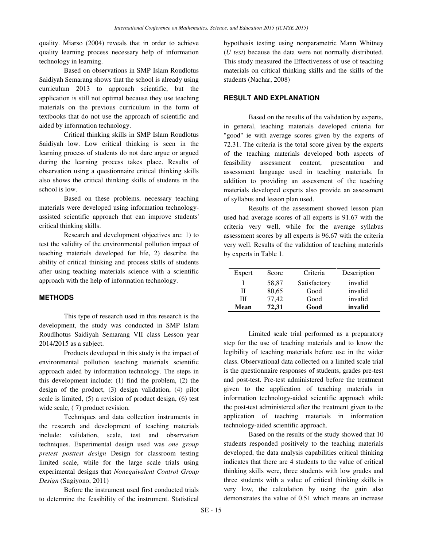quality. Miarso (2004) reveals that in order to achieve quality learning process necessary help of information technology in learning.

Based on observations in SMP Islam Roudlotus Saidiyah Semarang shows that the school is already using curriculum 2013 to approach scientific, but the application is still not optimal because they use teaching materials on the previous curriculum in the form of textbooks that do not use the approach of scientific and aided by information technology.

Critical thinking skills in SMP Islam Roudlotus Saidiyah low. Low critical thinking is seen in the learning process of students do not dare argue or argued during the learning process takes place. Results of observation using a questionnaire critical thinking skills also shows the critical thinking skills of students in the school is low.

Based on these problems, necessary teaching materials were developed using information technologyassisted scientific approach that can improve students' critical thinking skills.

Research and development objectives are: 1) to test the validity of the environmental pollution impact of teaching materials developed for life, 2) describe the ability of critical thinking and process skills of students after using teaching materials science with a scientific approach with the help of information technology.

## **METHODS**

This type of research used in this research is the development, the study was conducted in SMP Islam Roudlhotus Saidiyah Semarang VII class Lesson year 2014/2015 as a subject.

Products developed in this study is the impact of environmental pollution teaching materials scientific approach aided by information technology. The steps in this development include: (1) find the problem, (2) the design of the product, (3) design validation, (4) pilot scale is limited, (5) a revision of product design, (6) test wide scale,  $(7)$  product revision.

Techniques and data collection instruments in the research and development of teaching materials include: validation, scale, test and observation techniques. Experimental design used was *one group pretest posttest design* Design for classroom testing limited scale, while for the large scale trials using experimental designs that *Nonequivalent Control Group Design* (Sugiyono, 2011)

Before the instrument used first conducted trials to determine the feasibility of the instrument. Statistical hypothesis testing using nonparametric Mann Whitney (*U test*) because the data were not normally distributed. This study measured the Effectiveness of use of teaching materials on critical thinking skills and the skills of the students (Nachar, 2008)

## **RESULT AND EXPLANATION**

Based on the results of the validation by experts, in general, teaching materials developed criteria for "good" ie with average scores given by the experts of 72.31. The criteria is the total score given by the experts of the teaching materials developed both aspects of feasibility assessment content, presentation and assessment language used in teaching materials. In addition to providing an assessment of the teaching materials developed experts also provide an assessment of syllabus and lesson plan used.

Results of the assessment showed lesson plan used had average scores of all experts is 91.67 with the criteria very well, while for the average syllabus assessment scores by all experts is 96.67 with the criteria very well. Results of the validation of teaching materials by experts in Table 1.

| Expert | Score | Criteria     | Description |
|--------|-------|--------------|-------------|
|        | 58,87 | Satisfactory | invalid     |
| Н      | 80,65 | Good         | invalid     |
| Ш      | 77.42 | Good         | invalid     |
| Mean   | 72.31 | Good         | invalid     |

Limited scale trial performed as a preparatory step for the use of teaching materials and to know the legibility of teaching materials before use in the wider class. Observational data collected on a limited scale trial is the questionnaire responses of students, grades pre-test and post-test. Pre-test administered before the treatment given to the application of teaching materials in information technology-aided scientific approach while the post-test administered after the treatment given to the application of teaching materials in information technology-aided scientific approach.

Based on the results of the study showed that 10 students responded positively to the teaching materials developed, the data analysis capabilities critical thinking indicates that there are 4 students to the value of critical thinking skills were, three students with low grades and three students with a value of critical thinking skills is very low, the calculation by using the gain also demonstrates the value of 0.51 which means an increase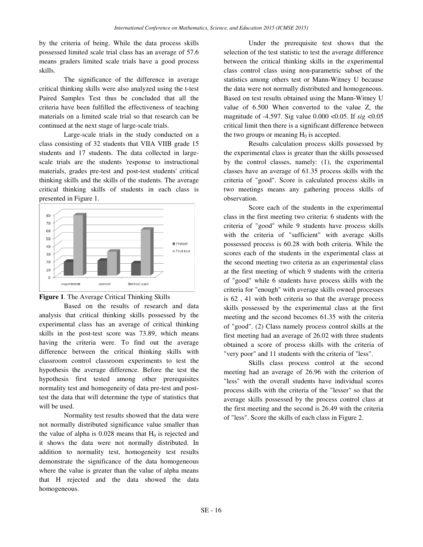by the criteria of being. While the data process skills possessed limited scale trial class has an average of 57.6 means graders limited scale trials have a good process skills.

The significance of the difference in average critical thinking skills were also analyzed using the t-test Paired Samples Test thus be concluded that all the criteria have been fulfilled the effectiveness of teaching materials on a limited scale trial so that research can be continued at the next stage of large-scale trials.

Large-scale trials in the study conducted on a class consisting of 32 students that VIIA VIIB grade 15 students and 17 students. The data collected in largescale trials are the students 'response to instructional materials, grades pre-test and post-test students' critical thinking skills and the skills of the students. The average critical thinking skills of students in each class is presented in Figure 1.





Based on the results of research and data analysis that critical thinking skills possessed by the experimental class has an average of critical thinking skills in the post-test score was 73.89, which means having the criteria were. To find out the average difference between the critical thinking skills with classroom control classroom experiments to test the hypothesis the average difference. Before the test the hypothesis first tested among other prerequisites normality test and homogeneity of data pre-test and posttest the data that will determine the type of statistics that will be used.

Normality test results showed that the data were not normally distributed significance value smaller than the value of alpha is  $0.028$  means that  $H<sub>0</sub>$  is rejected and it shows the data were not normally distributed. In addition to normality test, homogeneity test results demonstrate the significance of the data homogeneous where the value is greater than the value of alpha means that H rejected and the data showed the data homogeneous.

Under the prerequisite test shows that the selection of the test statistic to test the average difference between the critical thinking skills in the experimental class control class using non-parametric subset of the statistics among others test or Mann-Witney U because the data were not normally distributed and homogeneous. Based on test results obtained using the Mann-Witney U value of 6.500 When converted to the value Z, the magnitude of -4.597. Sig value 0.000 <0.05. If *sig* <0.05 critical limit then there is a significant difference between the two groups or meaning  $H_0$  is accepted.

Results calculation process skills possessed by the experimental class is greater than the skills possessed by the control classes, namely: (1), the experimental classes have an average of 61.35 process skills with the criteria of "good". Score is calculated process skills in two meetings means any gathering process skills of observation.

Score each of the students in the experimental class in the first meeting two criteria: 6 students with the criteria of "good" while 9 students have process skills with the criteria of "sufficient" with average skills possessed process is 60.28 with both criteria. While the scores each of the students in the experimental class at the second meeting two criteria as an experimental class at the first meeting of which 9 students with the criteria of "good" while 6 students have process skills with the criteria for "enough" with average skills owned processes is 62 , 41 with both criteria so that the average process skills possessed by the experimental class at the first meeting and the second becomes 61.35 with the criteria of "good". (2) Class namely process control skills at the first meeting had an average of 26.02 with three students obtained a score of process skills with the criteria of "very poor" and 11 students with the criteria of "less".

Skills class process control at the second meeting had an average of 26.96 with the criterion of "less" with the overall students have individual scores process skills with the criteria of the "lesser" so that the average skills possessed by the process control class at the first meeting and the second is 26.49 with the criteria of "less". Score the skills of each class in Figure 2.